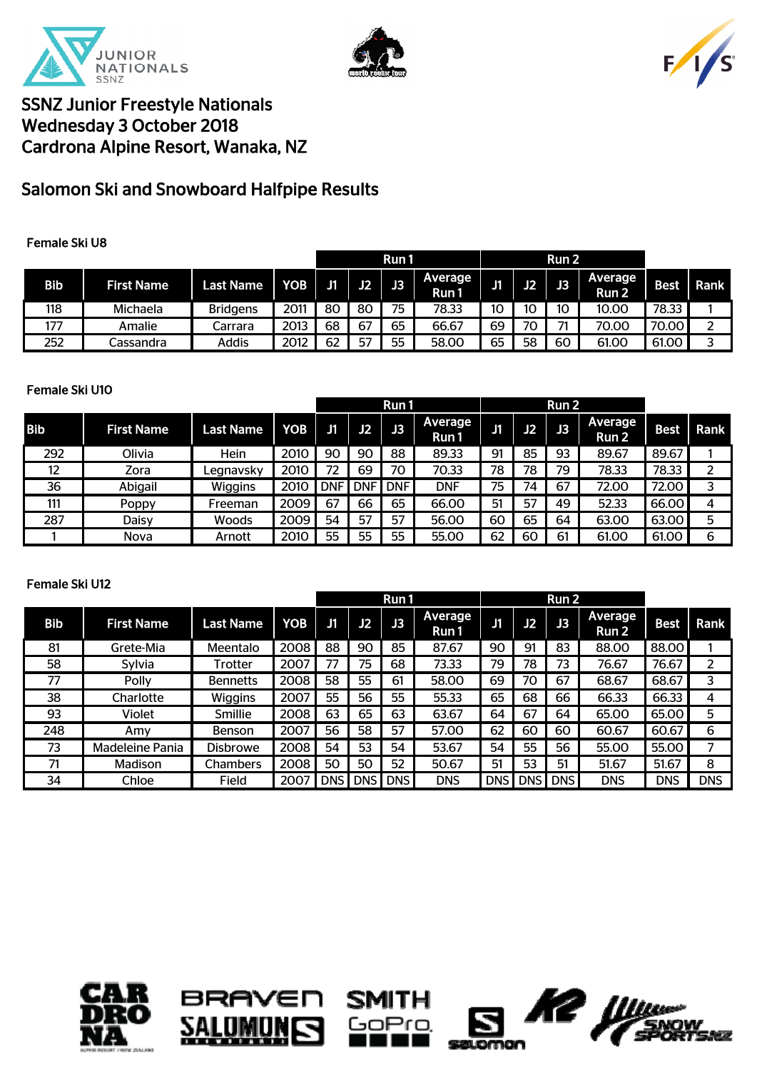





# Salomon Ski and Snowboard Halfpipe Results

### Female Ski U8

|            |                   |                  |            |    |    | Run 1 |                  |     |    | Run 2 |                               |             |      |
|------------|-------------------|------------------|------------|----|----|-------|------------------|-----|----|-------|-------------------------------|-------------|------|
| <b>Bib</b> | <b>First Name</b> | <b>Last Name</b> | <b>YOB</b> | J1 | J2 | J3    | Average<br>Run 1 | IJ1 | J2 | J3    | Average  <br>Run <sub>2</sub> | <b>Best</b> | Rank |
| 118        | Michaela          | <b>Bridgens</b>  | 2011       | 80 | 80 | 75    | 78.33            | 10  | 10 | 10    | 10.00                         | 78.33       |      |
| 177        | Amalie            | Carrara          | 2013       | 68 | 67 | 65    | 66.67            | 69  | 70 | -74   | 70.00                         | 70.00       |      |
| 252        | Cassandra         | Addis            | 2012       | 62 | 57 | 55    | 58.00            | 65  | 58 | 60    | 61.00                         | 61.00       |      |

#### Female Ski U10

|            |                   |                  |      |            |            | Run 1      |                  |    |    | Run 2 |                         |             |      |
|------------|-------------------|------------------|------|------------|------------|------------|------------------|----|----|-------|-------------------------|-------------|------|
| <b>Bib</b> | <b>First Name</b> | <b>Last Name</b> | YOB  | J1         | J2         | J3         | Average<br>Run 1 | J1 | J2 | J3    | <b>Average</b><br>Run 2 | <b>Best</b> | Rank |
| 292        | Olivia            | Hein             | 2010 | 90         | 90         | 88         | 89.33            | 91 | 85 | 93    | 89.67                   | 89.67       |      |
| 12         | Zora              | Legnavsky        | 2010 | 72         | 69         | 70         | 70.33            | 78 | 78 | 79    | 78.33                   | 78.33       |      |
| 36         | Abigail           | Wiggins          | 2010 | <b>DNF</b> | <b>DNF</b> | <b>DNF</b> | <b>DNF</b>       | 75 | 74 | 67    | 72.00                   | 72.00       |      |
| 111        | <b>Poppy</b>      | Freeman          | 2009 | 67         | 66         | 65         | 66.00            | 51 | 57 | 49    | 52.33                   | 66.00       | 4    |
| 287        | Daisy             | Woods            | 2009 | 54         | 57         | 57         | 56.00            | 60 | 65 | 64    | 63.00                   | 63.00       | 5    |
|            | <b>Nova</b>       | Arnott           | 2010 | 55         | 55         | 55         | 55.00            | 62 | 60 | 61    | 61.00                   | 61.00       | 6    |

#### Female Ski U12

|            |                   |                  |      |            |            | Run 1      |                  |            |            | Run 2      |                  |             |            |
|------------|-------------------|------------------|------|------------|------------|------------|------------------|------------|------------|------------|------------------|-------------|------------|
| <b>Bib</b> | <b>First Name</b> | <b>Last Name</b> | YOB  | J1         | J2         | J3         | Average<br>Run 1 | J1         | J2         | J3         | Average<br>Run 2 | <b>Best</b> | Rank       |
| 81         | Grete-Mia         | Meentalo         | 2008 | 88         | 90         | 85         | 87.67            | 90         | 91         | 83         | 88.00            | 88.00       |            |
| 58         | Sylvia            | Trotter          | 2007 | 77         | 75         | 68         | 73.33            | 79         | 78         | 73         | 76.67            | 76.67       | 2          |
| 77         | <b>Polly</b>      | <b>Bennetts</b>  | 2008 | 58         | 55         | 61         | 58.00            | 69         | 70         | 67         | 68.67            | 68.67       | 3          |
| 38         | Charlotte         | <b>Wiggins</b>   | 2007 | 55         | 56         | 55         | 55.33            | 65         | 68         | 66         | 66.33            | 66.33       | 4          |
| 93         | Violet            | Smillie          | 2008 | 63         | 65         | 63         | 63.67            | 64         | 67         | 64         | 65.00            | 65.00       | 5          |
| 248        | Amy               | Benson           | 2007 | 56         | 58         | 57         | 57.00            | 62         | 60         | 60         | 60.67            | 60.67       | 6          |
| 73         | Madeleine Pania   | <b>Disbrowe</b>  | 2008 | 54         | 53         | 54         | 53.67            | 54         | 55         | 56         | 55.00            | 55.00       |            |
| 71         | <b>Madison</b>    | Chambers         | 2008 | 50         | 50         | 52         | 50.67            | 51         | 53         | 51         | 51.67            | 51.67       | 8          |
| 34         | Chloe             | <b>Field</b>     | 2007 | <b>DNS</b> | <b>DNS</b> | <b>DNS</b> | <b>DNS</b>       | <b>DNS</b> | <b>DNS</b> | <b>DNS</b> | <b>DNS</b>       | <b>DNS</b>  | <b>DNS</b> |









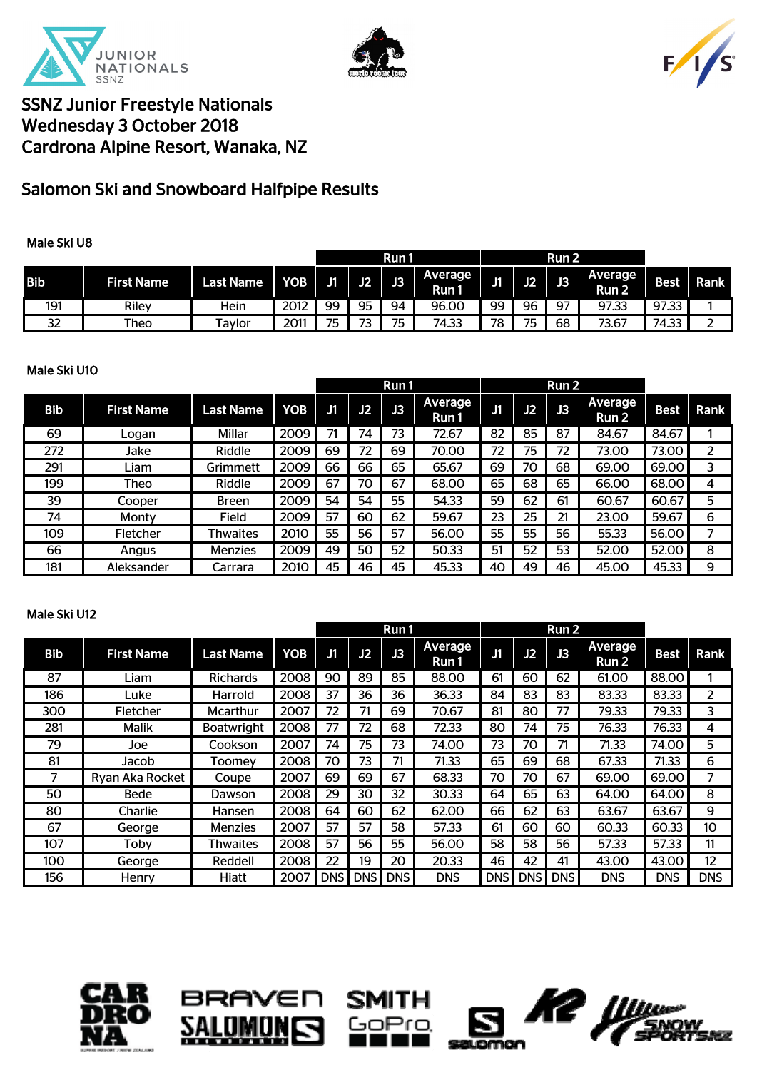





# Salomon Ski and Snowboard Halfpipe Results

### Male Ski U8

|            |                   |                     |      |    |    | Run 1 |                        |    |    | Run 2 |                    |             |      |
|------------|-------------------|---------------------|------|----|----|-------|------------------------|----|----|-------|--------------------|-------------|------|
| <b>Bib</b> | <b>First Name</b> | <b>Last Name</b>    | VOB. | J1 | J2 | J3    | <b>Average</b><br>Run1 | J1 | J2 | J3    | Average  <br>Run 2 | <b>Best</b> | Rank |
| 191        | Rilev             | Hein                | 2012 | 99 | 95 | 94    | 96.00                  | 99 | 96 | -97   | 97.33              | 97.33       |      |
| 32         | Theo              | <sup>-</sup> Tavlor | 2011 | 75 | 73 | 75    | 74.33                  | 78 | 75 | 68    | 73.67              | 74.33       | -    |

### Male Ski U10

|            |                   |                  |      |    |    | Run 1 |                  |    |    | Run 2          |                         |             |      |
|------------|-------------------|------------------|------|----|----|-------|------------------|----|----|----------------|-------------------------|-------------|------|
| <b>Bib</b> | <b>First Name</b> | <b>Last Name</b> | YOB  | J1 | J2 | J3    | Average<br>Run 1 | J1 | J2 | J <sub>3</sub> | <b>Average</b><br>Run 2 | <b>Best</b> | Rank |
| 69         | Logan             | Millar           | 2009 | 71 | 74 | 73    | 72.67            | 82 | 85 | 87             | 84.67                   | 84.67       |      |
| 272        | Jake              | Riddle           | 2009 | 69 | 72 | 69    | 70.00            | 72 | 75 | 72             | 73.00                   | 73.00       |      |
| 291        | Liam              | Grimmett         | 2009 | 66 | 66 | 65    | 65.67            | 69 | 70 | 68             | 69.00                   | 69.00       | 3    |
| 199        | Theo              | Riddle           | 2009 | 67 | 70 | 67    | 68.00            | 65 | 68 | 65             | 66.00                   | 68.00       | 4    |
| 39         | Cooper            | <b>Breen</b>     | 2009 | 54 | 54 | 55    | 54.33            | 59 | 62 | 61             | 60.67                   | 60.67       | 5    |
| 74         | Monty             | Field            | 2009 | 57 | 60 | 62    | 59.67            | 23 | 25 | 21             | 23.00                   | 59.67       | 6    |
| 109        | <b>Fletcher</b>   | Thwaites         | 2010 | 55 | 56 | 57    | 56.00            | 55 | 55 | 56             | 55.33                   | 56.00       |      |
| 66         | Angus             | Menzies          | 2009 | 49 | 50 | 52    | 50.33            | 51 | 52 | 53             | 52.00                   | 52.00       | 8    |
| 181        | Aleksander        | Carrara          | 2010 | 45 | 46 | 45    | 45.33            | 40 | 49 | 46             | 45.00                   | 45.33       | 9    |

#### Male Ski U12

|            |                   |                   |      |            |            | Run 1      |                  |            |            | Run <sub>2</sub> |                                    |             |            |
|------------|-------------------|-------------------|------|------------|------------|------------|------------------|------------|------------|------------------|------------------------------------|-------------|------------|
| <b>Bib</b> | <b>First Name</b> | <b>Last Name</b>  | YOB  | J1         | J2         | J3         | Average<br>Run 1 | J1         | J2         | J3               | <b>Average</b><br>Run <sub>2</sub> | <b>Best</b> | Rank       |
| 87         | Liam              | <b>Richards</b>   | 2008 | 90         | 89         | 85         | 88.00            | 61         | 60         | 62               | 61.00                              | 88.00       |            |
| 186        | Luke              | Harrold           | 2008 | 37         | 36         | 36         | 36.33            | 84         | 83         | 83               | 83.33                              | 83.33       | 2          |
| 300        | Fletcher          | Mcarthur          | 2007 | 72         | 71         | 69         | 70.67            | 81         | 80         | 77               | 79.33                              | 79.33       | 3          |
| 281        | <b>Malik</b>      | <b>Boatwright</b> | 2008 | 77         | 72         | 68         | 72.33            | 80         | 74         | 75               | 76.33                              | 76.33       | 4          |
| 79         | Joe               | Cookson           | 2007 | 74         | 75         | 73         | 74.00            | 73         | 70         | 71               | 71.33                              | 74.00       | 5          |
| 81         | Jacob             | Toomey            | 2008 | 70         | 73         | 71         | 71.33            | 65         | 69         | 68               | 67.33                              | 71.33       | 6          |
|            | Ryan Aka Rocket   | Coupe             | 2007 | 69         | 69         | 67         | 68.33            | 70         | 70         | 67               | 69.00                              | 69.00       | 7          |
| 50         | Bede              | Dawson            | 2008 | 29         | 30         | 32         | 30.33            | 64         | 65         | 63               | 64.00                              | 64.00       | 8          |
| 80         | Charlie           | Hansen            | 2008 | 64         | 60         | 62         | 62.00            | 66         | 62         | 63               | 63.67                              | 63.67       | 9          |
| 67         | George            | <b>Menzies</b>    | 2007 | 57         | 57         | 58         | 57.33            | 61         | 60         | 60               | 60.33                              | 60.33       | 10         |
| 107        | Toby              | Thwaites          | 2008 | 57         | 56         | 55         | 56.00            | 58         | 58         | 56               | 57.33                              | 57.33       | 11         |
| 100        | George            | Reddell           | 2008 | 22         | 19         | 20         | 20.33            | 46         | 42         | 41               | 43.00                              | 43.00       | 12         |
| 156        | Henry             | <b>Hiatt</b>      | 2007 | <b>DNS</b> | <b>DNS</b> | <b>DNS</b> | <b>DNS</b>       | <b>DNS</b> | <b>DNS</b> | <b>DNS</b>       | <b>DNS</b>                         | <b>DNS</b>  | <b>DNS</b> |



8I





бZ.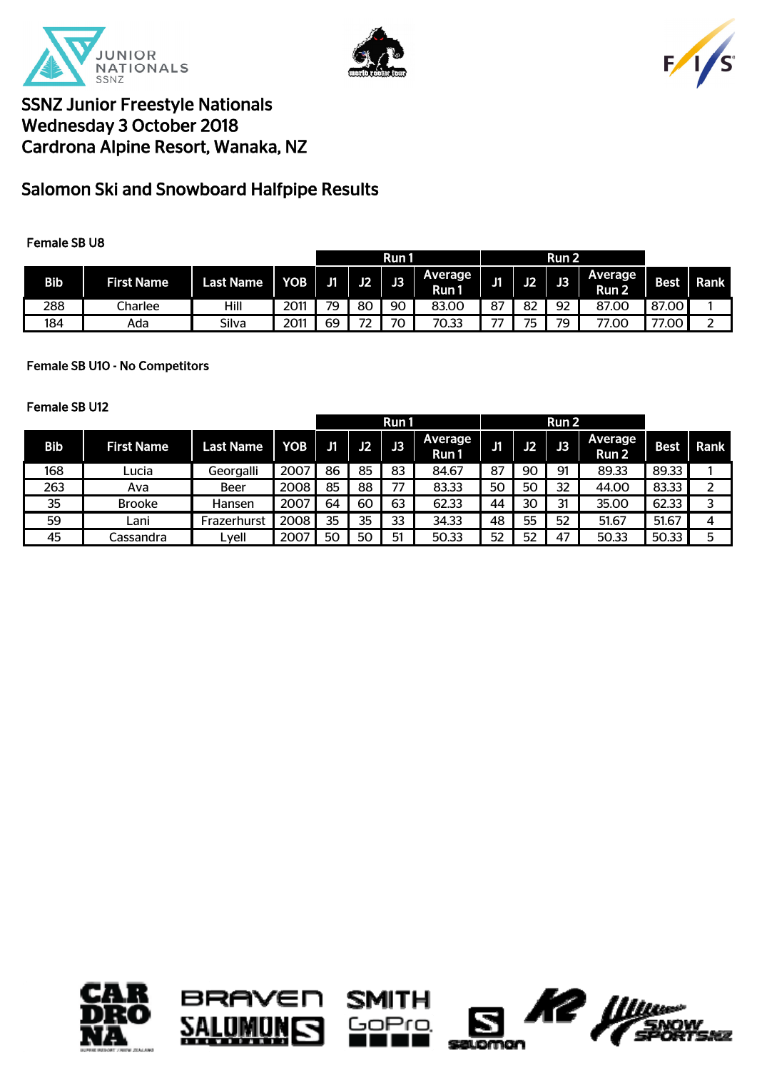





# Salomon Ski and Snowboard Halfpipe Results

### Female SB U8

|            |                   |                  |            |    |                                        | Run 1 |                    |    |    | Run <sub>2</sub> |                         |             |             |
|------------|-------------------|------------------|------------|----|----------------------------------------|-------|--------------------|----|----|------------------|-------------------------|-------------|-------------|
| <b>Bib</b> | <b>First Name</b> | <b>Last Name</b> | <b>YOB</b> | J1 | J2                                     | J3    | Average  <br>Run 1 | J1 | J2 | J3               | <b>Average</b><br>Run 2 | <b>Best</b> | <b>Rank</b> |
| 288        | Charlee           | Hill             | 2011       | 79 | 80                                     | 90    | 83.00              | 87 | 82 | 92               | 87.00                   | 87.00       |             |
| 184        | Ada               | Silva            | 2011       | 69 | $\overline{\phantom{a}}$<br>$\epsilon$ | 70    | 70.33              | -- | 75 | 79               | 77.00                   | 77.00       | ے           |

### Female SB U10 - No Competitors

#### Female SB U12

|            |                   |                  |      |    |           | Run 1 |                         |    |    | Run 2 |                  |             |      |
|------------|-------------------|------------------|------|----|-----------|-------|-------------------------|----|----|-------|------------------|-------------|------|
| <b>Bib</b> | <b>First Name</b> | <b>Last Name</b> | YOB  | J1 | <b>J2</b> | JB.   | <b>Average</b><br>Run 1 | J1 | J2 | J3    | Average<br>Run 2 | <b>Best</b> | Rank |
| 168        | ∟ucia             | Georgalli        | 2007 | 86 | 85        | 83    | 84.67                   | 87 | 90 | 91    | 89.33            | 89.33       |      |
| 263        | Ava               | Beer             | 2008 | 85 | 88        | 77    | 83.33                   | 50 | 50 | 32    | 44.00            | 83.33       |      |
| 35         | <b>Brooke</b>     | Hansen           | 2007 | 64 | 60        | 63    | 62.33                   | 44 | 30 | 31    | 35.00            | 62.33       |      |
| 59         | Lani              | Frazerhurst      | 2008 | 35 | 35        | 33    | 34.33                   | 48 | 55 | 52    | 51.67            | 51.67       | 4    |
| 45         | Cassandra         | Lyell            | 2007 | 50 | 50        | 51    | 50.33                   | 52 | 52 | 47    | 50.33            | 50.33       |      |







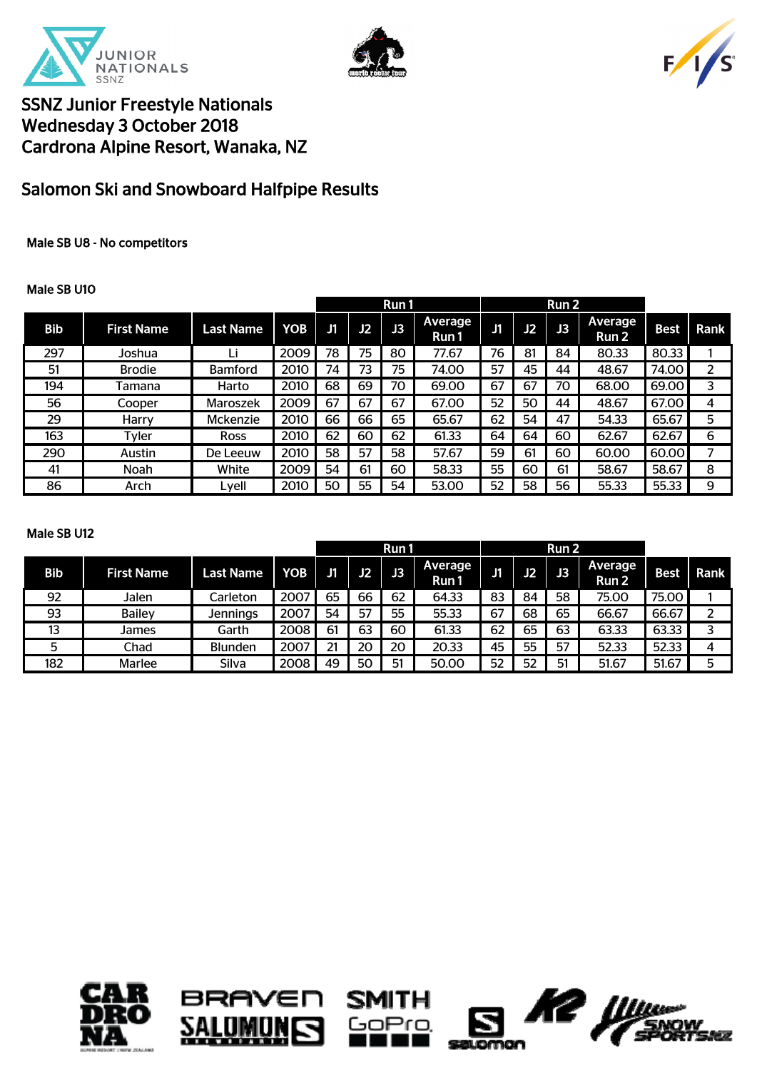





# Salomon Ski and Snowboard Halfpipe Results

### Male SB U8 - No competitors

#### Male SB U10

|            |                   |                  |            |    |                | Run 1    |                  |    |    | Run 2          |                  |             |      |
|------------|-------------------|------------------|------------|----|----------------|----------|------------------|----|----|----------------|------------------|-------------|------|
| <b>Bib</b> | <b>First Name</b> | <b>Last Name</b> | <b>YOB</b> | J1 | J <sub>2</sub> | <b>R</b> | Average<br>Run 1 | J1 | J2 | J <sub>3</sub> | Average<br>Run 2 | <b>Best</b> | Rank |
| 297        | Joshua            | Li               | 2009       | 78 | 75             | 80       | 77.67            | 76 | 81 | 84             | 80.33            | 80.33       |      |
| 51         | <b>Brodie</b>     | <b>Bamford</b>   | 2010       | 74 | 73             | 75       | 74.00            | 57 | 45 | 44             | 48.67            | 74.00       | 2    |
| 194        | Tamana            | Harto            | 2010       | 68 | 69             | 70       | 69.00            | 67 | 67 | 70             | 68.00            | 69.00       | 3    |
| 56         | Cooper            | Maroszek         | 2009       | 67 | 67             | 67       | 67.00            | 52 | 50 | 44             | 48.67            | 67.00       | 4    |
| 29         | Harry             | Mckenzie         | 2010       | 66 | 66             | 65       | 65.67            | 62 | 54 | 47             | 54.33            | 65.67       | 5    |
| 163        | Tvler             | <b>Ross</b>      | 2010       | 62 | 60             | 62       | 61.33            | 64 | 64 | 60             | 62.67            | 62.67       | 6    |
| 290        | Austin            | De Leeuw         | 2010       | 58 | 57             | 58       | 57.67            | 59 | 61 | 60             | 60.00            | 60.00       |      |
| 41         | Noah              | White            | 2009       | 54 | 61             | 60       | 58.33            | 55 | 60 | 61             | 58.67            | 58.67       | 8    |
| 86         | Arch              | Lyell            | 2010       | 50 | 55             | 54       | 53.00            | 52 | 58 | 56             | 55.33            | 55.33       | 9    |

#### Male SB U12

|            |                   |                  |            |              |           | Run1 |                  |    |    | Run <sub>2</sub> |                   |             |             |
|------------|-------------------|------------------|------------|--------------|-----------|------|------------------|----|----|------------------|-------------------|-------------|-------------|
| <b>Bib</b> | <b>First Name</b> | <b>Last Name</b> | <b>YOB</b> | $\mathbf{J}$ | <b>J2</b> | JB'  | Average<br>Run 1 | J1 | J2 | J3               | Average<br>Run 2' | <b>Best</b> | <b>Rank</b> |
| 92         | Jalen             | Carleton         | 2007       | 65           | 66        | 62   | 64.33            | 83 | 84 | 58               | 75.00             | 75.00       |             |
| 93         | <b>Bailey</b>     | <b>Jennings</b>  | 2007       | 54           | 57        | 55   | 55.33            | 67 | 68 | 65               | 66.67             | 66.67       |             |
| 13         | James             | Garth            | 2008       | 61           | 63        | 60   | 61.33            | 62 | 65 | 63               | 63.33             | 63.33       |             |
| 5          | Chad              | <b>Blunden</b>   | 2007       | 21           | 20        | 20   | 20.33            | 45 | 55 | 57               | 52.33             | 52.33       | 4           |
| 182        | <b>Marlee</b>     | Silva            | 2008       | 49           | 50        | 51   | 50.00            | 52 | 52 | 51               | 51.67             | 51.67       | 5           |







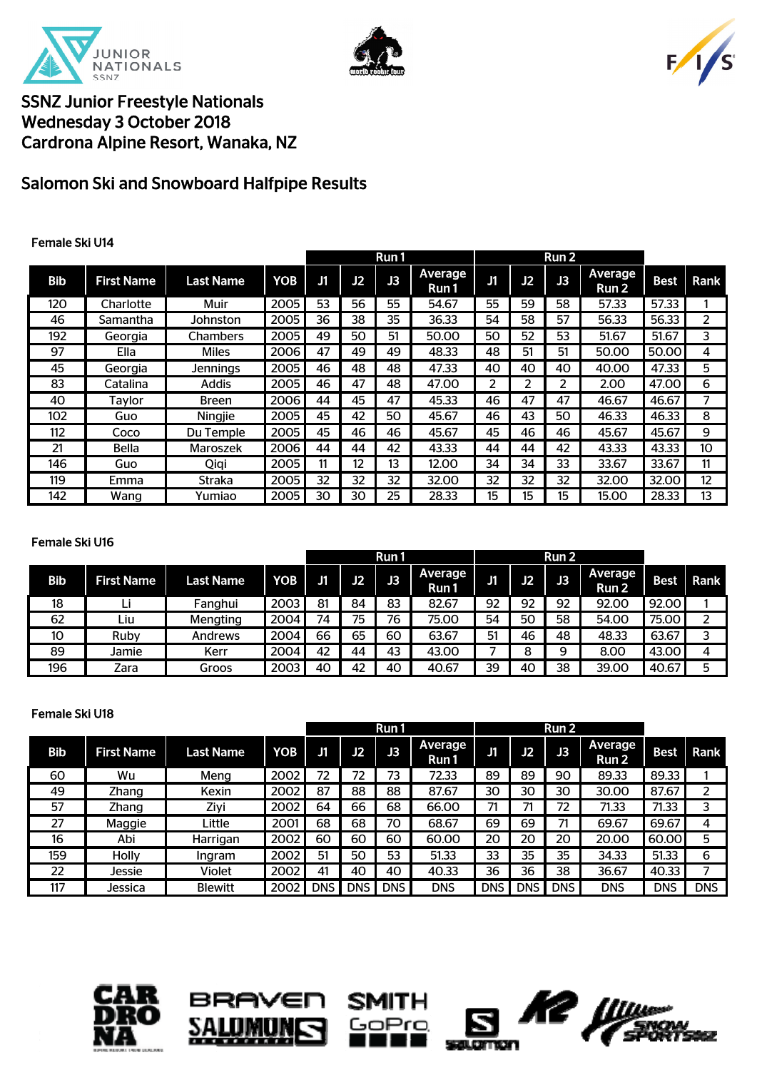





# Salomon Ski and Snowboard Halfpipe Results

### Female Ski U14

|            |                   |                  |      |    |    | Run 1 |                  |            |    | Run 2 |                         |             |      |
|------------|-------------------|------------------|------|----|----|-------|------------------|------------|----|-------|-------------------------|-------------|------|
| <b>Bib</b> | <b>First Name</b> | <b>Last Name</b> | YOB  | J1 | J2 | 咽     | Average<br>Run 1 | ${\bf J}1$ | J2 | J3    | <b>Average</b><br>Run 2 | <b>Best</b> | Rank |
| 120        | Charlotte         | Muir             | 2005 | 53 | 56 | 55    | 54.67            | 55         | 59 | 58    | 57.33                   | 57.33       |      |
| 46         | Samantha          | Johnston         | 2005 | 36 | 38 | 35    | 36.33            | 54         | 58 | 57    | 56.33                   | 56.33       | 2    |
| 192        | Georgia           | Chambers         | 2005 | 49 | 50 | 51    | 50.00            | 50         | 52 | 53    | 51.67                   | 51.67       | 3    |
| 97         | Ella              | <b>Miles</b>     | 2006 | 47 | 49 | 49    | 48.33            | 48         | 51 | 51    | 50.00                   | 50.00       | 4    |
| 45         | Georgia           | <b>Jennings</b>  | 2005 | 46 | 48 | 48    | 47.33            | 40         | 40 | 40    | 40.00                   | 47.33       | 5    |
| 83         | Catalina          | Addis            | 2005 | 46 | 47 | 48    | 47.00            | 2          | ว  | 2     | 2.00                    | 47.00       | 6    |
| 40         | Taylor            | Breen            | 2006 | 44 | 45 | 47    | 45.33            | 46         | 47 | 47    | 46.67                   | 46.67       |      |
| 102        | Guo               | Ningjie          | 2005 | 45 | 42 | 50    | 45.67            | 46         | 43 | 50    | 46.33                   | 46.33       | 8    |
| 112        | Coco              | Du Temple        | 2005 | 45 | 46 | 46    | 45.67            | 45         | 46 | 46    | 45.67                   | 45.67       | 9    |
| 21         | <b>Bella</b>      | Maroszek         | 2006 | 44 | 44 | 42    | 43.33            | 44         | 44 | 42    | 43.33                   | 43.33       | 10   |
| 146        | Guo               | Qiqi             | 2005 | 11 | 12 | 13    | 12.00            | 34         | 34 | 33    | 33.67                   | 33.67       | 11   |
| 119        | Emma              | <b>Straka</b>    | 2005 | 32 | 32 | 32    | 32.00            | 32         | 32 | 32    | 32.00                   | 32.00       | 12   |
| 142        | Wang              | Yumiao           | 2005 | 30 | 30 | 25    | 28.33            | 15         | 15 | 15    | 15.00                   | 28.33       | 13   |

### Female Ski U16

|            |                   |                  |            |    |    | Run 1 |                  |     |    | Run <sub>2</sub> |                  |       |      |
|------------|-------------------|------------------|------------|----|----|-------|------------------|-----|----|------------------|------------------|-------|------|
| <b>Bib</b> | <b>First Name</b> | <b>Last Name</b> | <b>YOB</b> | J1 | J2 | J3    | Average<br>Run 1 | IJ1 | J2 | JB.              | Average<br>Run 2 | Best  | Rank |
| 18         | ப                 | Fanghui          | 2003       | 81 | 84 | 83    | 82.67            | 92  | 92 | 92               | 92.00            | 92.00 |      |
| 62         | Liu               | Mengting         | 2004       | 74 | 75 | 76    | 75.00            | 54  | 50 | 58               | 54.00            | 75.00 |      |
| 10         | Ruby              | Andrews          | 2004       | 66 | 65 | 60    | 63.67            | 51  | 46 | 48               | 48.33            | 63.67 |      |
| 89         | Jamie             | Kerr             | 2004       | 42 | 44 | 43    | 43.00            |     |    | Q                | 8.00             | 43.00 | 4    |
| 196        | Zara              | Groos            | 2003       | 40 | 42 | 40    | 40.67            | 39  | 40 | 38               | 39.00            | 40.67 | 5    |

#### Female Ski U18

|            |                   |                  |      | Run 1      |            |            | Run 2            |            |            |              |                  |             |            |
|------------|-------------------|------------------|------|------------|------------|------------|------------------|------------|------------|--------------|------------------|-------------|------------|
| <b>Bib</b> | <b>First Name</b> | <b>Last Name</b> | YOB  | Jí         | J2         | J3         | Average<br>Run 1 | J1         | J2         | $\mathbf{B}$ | Average<br>Run 2 | <b>Best</b> | Rank       |
| 60         | Wu                | Meng             | 2002 | 72         | 72         | 73         | 72.33            | 89         | 89         | 90           | 89.33            | 89.33       |            |
| 49         | Zhang             | Kexin            | 2002 | 87         | 88         | 88         | 87.67            | 30         | 30         | 30           | 30.00            | 87.67       |            |
| 57         | Zhang             | Ziyi             | 2002 | 64         | 66         | 68         | 66.00            |            |            | 72           | 71.33            | 71.33       | 3          |
| 27         | Maggie            | Little           | 2001 | 68         | 68         | 70         | 68.67            | 69         | 69         | 71           | 69.67            | 69.67       | 4          |
| 16         | Abi               | Harrigan         | 2002 | 60         | 60         | 60         | 60.00            | 20         | 20         | 20           | 20.00            | 60.00       | 5          |
| 159        | Holly             | Ingram           | 2002 | 51         | 50         | 53         | 51.33            | 33         | 35         | 35           | 34.33            | 51.33       | 6          |
| 22         | Jessie            | Violet           | 2002 | 41         | 40         | 40         | 40.33            | 36         | 36         | 38           | 36.67            | 40.33       |            |
| 117        | Jessica           | <b>Blewitt</b>   | 2002 | <b>DNS</b> | <b>DNS</b> | <b>DNS</b> | <b>DNS</b>       | <b>DNS</b> | <b>DNS</b> | <b>DNS</b>   | <b>DNS</b>       | <b>DNS</b>  | <b>DNS</b> |







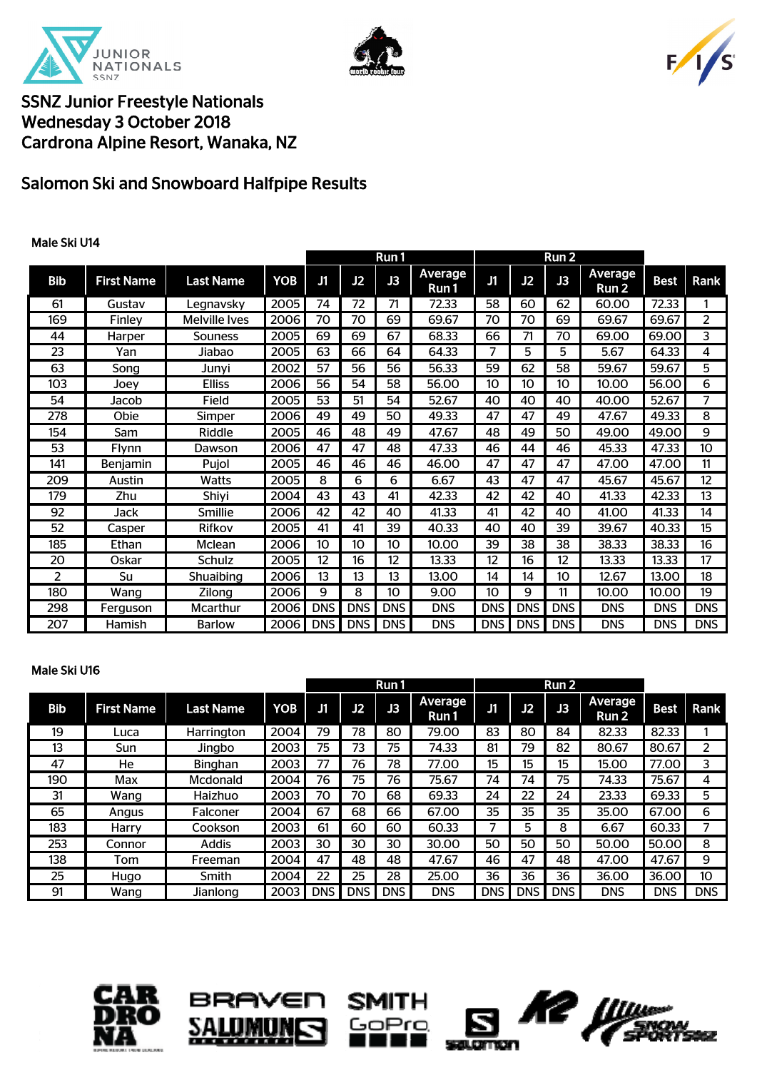





## Salomon Ski and Snowboard Halfpipe Results

### Male Ski U14

|                |                   |                      |            | Run 1      |            | Run 2      |                  |            |            |            |                  |             |                   |
|----------------|-------------------|----------------------|------------|------------|------------|------------|------------------|------------|------------|------------|------------------|-------------|-------------------|
| <b>Bib</b>     | <b>First Name</b> | <b>Last Name</b>     | <b>YOB</b> | J1         | J2         | J3         | Average<br>Run 1 | J1         | J2         | J3         | Average<br>Run 2 | <b>Best</b> | Rank              |
| 61             | Gustav            | Legnavsky            | 2005       | 74         | 72         | 71         | 72.33            | 58         | 60         | 62         | 60.00            | 72.33       | 1                 |
| 169            | Finley            | <b>Melville Ives</b> | 2006       | 70         | 70         | 69         | 69.67            | 70         | 70         | 69         | 69.67            | 69.67       | 2                 |
| 44             | Harper            | Souness              | 2005       | 69         | 69         | 67         | 68.33            | 66         | 71         | 70         | 69.00            | 69.00       | 3                 |
| 23             | Yan               | Jiabao               | 2005       | 63         | 66         | 64         | 64.33            | 7          | 5          | 5          | 5.67             | 64.33       | 4                 |
| 63             | Song              | Junyi                | 2002       | 57         | 56         | 56         | 56.33            | 59         | 62         | 58         | 59.67            | 59.67       | 5                 |
| 103            | Joey              | <b>Elliss</b>        | 2006       | 56         | 54         | 58         | 56.00            | 10         | 10         | 10         | 10.00            | 56.00       | 6                 |
| 54             | Jacob             | Field                | 2005       | 53         | 51         | 54         | 52.67            | 40         | 40         | 40         | 40.00            | 52.67       | 7                 |
| 278            | Obie              | Simper               | 2006       | 49         | 49         | 50         | 49.33            | 47         | 47         | 49         | 47.67            | 49.33       | 8                 |
| 154            | Sam               | Riddle               | 2005       | 46         | 48         | 49         | 47.67            | 48         | 49         | 50         | 49.00            | 49.00       | 9                 |
| 53             | Flynn             | Dawson               | 2006       | 47         | 47         | 48         | 47.33            | 46         | 44         | 46         | 45.33            | 47.33       | 10 <sup>10</sup>  |
| 141            | Benjamin          | Pujol                | 2005       | 46         | 46         | 46         | 46.00            | 47         | 47         | 47         | 47.00            | 47.00       | 11                |
| 209            | Austin            | Watts                | 2005       | 8          | 6          | 6          | 6.67             | 43         | 47         | 47         | 45.67            | 45.67       | $12 \overline{ }$ |
| 179            | Zhu               | Shiyi                | 2004       | 43         | 43         | 41         | 42.33            | 42         | 42         | 40         | 41.33            | 42.33       | 13                |
| 92             | Jack              | Smillie              | 2006       | 42         | 42         | 40         | 41.33            | 41         | 42         | 40         | 41.00            | 41.33       | 14                |
| 52             | Casper            | Rifkov               | 2005       | 41         | 41         | 39         | 40.33            | 40         | 40         | 39         | 39.67            | 40.33       | 15                |
| 185            | Ethan             | Mclean               | 2006       | 10         | 10         | 10         | 10.00            | 39         | 38         | 38         | 38.33            | 38.33       | 16                |
| 20             | Oskar             | Schulz               | 2005       | 12         | 16         | 12         | 13.33            | 12         | 16         | 12         | 13.33            | 13.33       | 17                |
| $\overline{2}$ | Su                | Shuaibing            | 2006       | 13         | 13         | 13         | 13.00            | 14         | 14         | 10         | 12.67            | 13.00       | 18                |
| 180            | Wang              | Zilong               | 2006       | 9          | 8          | 10         | 9.00             | 10         | 9          | 11         | 10.00            | 10.00       | 19                |
| 298            | Ferguson          | <b>Mcarthur</b>      | 2006       | <b>DNS</b> | <b>DNS</b> | <b>DNS</b> | <b>DNS</b>       | <b>DNS</b> | <b>DNS</b> | <b>DNS</b> | <b>DNS</b>       | <b>DNS</b>  | <b>DNS</b>        |
| 207            | Hamish            | <b>Barlow</b>        | 2006       | <b>DNS</b> | <b>DNS</b> | <b>DNS</b> | <b>DNS</b>       | <b>DNS</b> | <b>DNS</b> | <b>DNS</b> | <b>DNS</b>       | <b>DNS</b>  | <b>DNS</b>        |

#### Male Ski U16

|     |                   |                  |      | Run 1      |            |     | Run <sub>2</sub> |            |            |       |                  |             |            |
|-----|-------------------|------------------|------|------------|------------|-----|------------------|------------|------------|-------|------------------|-------------|------------|
| Bib | <b>First Name</b> | <b>Last Name</b> | YOB  | J1         | J2         | J3  | Average<br>Run 1 | J1         | J2         | J3    | Average<br>Run 2 | <b>Best</b> | Rank       |
| 19  | Luca              | Harrington       | 2004 | 79         | 78         | 80  | 79.00            | 83         | 80         | 84    | 82.33            | 82.33       |            |
| 13  | Sun               | Jingbo           | 2003 | 75         | 73         | 75  | 74.33            | 81         | 79         | 82    | 80.67            | 80.67       | 2          |
| 47  | He                | <b>Binghan</b>   | 2003 | 77         | 76         | 78  | 77.00            | 15         | 15         | 15    | 15.00            | 77.00       | 3          |
| 190 | Max               | Mcdonald         | 2004 | 76         | 75         | 76  | 75.67            | 74         | 74         | 75    | 74.33            | 75.67       | 4          |
| 31  | Wang              | Haizhuo          | 2003 | 70         | 70         | 68  | 69.33            | 24         | 22         | 24    | 23.33            | 69.33       | 5          |
| 65  | Angus             | Falconer         | 2004 | 67         | 68         | 66  | 67.00            | 35         | 35         | 35    | 35.00            | 67.00       | 6          |
| 183 | Harry             | Cookson          | 2003 | 61         | 60         | 60  | 60.33            |            | 5          | 8     | 6.67             | 60.33       |            |
| 253 | Connor            | <b>Addis</b>     | 2003 | 30         | 30         | 30  | 30.00            | 50         | 50         | 50    | 50.00            | 50.00       | 8          |
| 138 | Tom               | Freeman          | 2004 | 47         | 48         | 48  | 47.67            | 46         | 47         | 48    | 47.00            | 47.67       | 9          |
| 25  | Hugo              | Smith            | 2004 | 22         | 25         | 28  | 25.00            | 36         | 36         | 36    | 36.00            | 36.00       | 10         |
| 91  | Wang              | Jianlong         | 2003 | <b>DNS</b> | <b>DNS</b> | DNS | <b>DNS</b>       | <b>DNS</b> | <b>DNS</b> | DNS I | <b>DNS</b>       | <b>DNS</b>  | <b>DNS</b> |







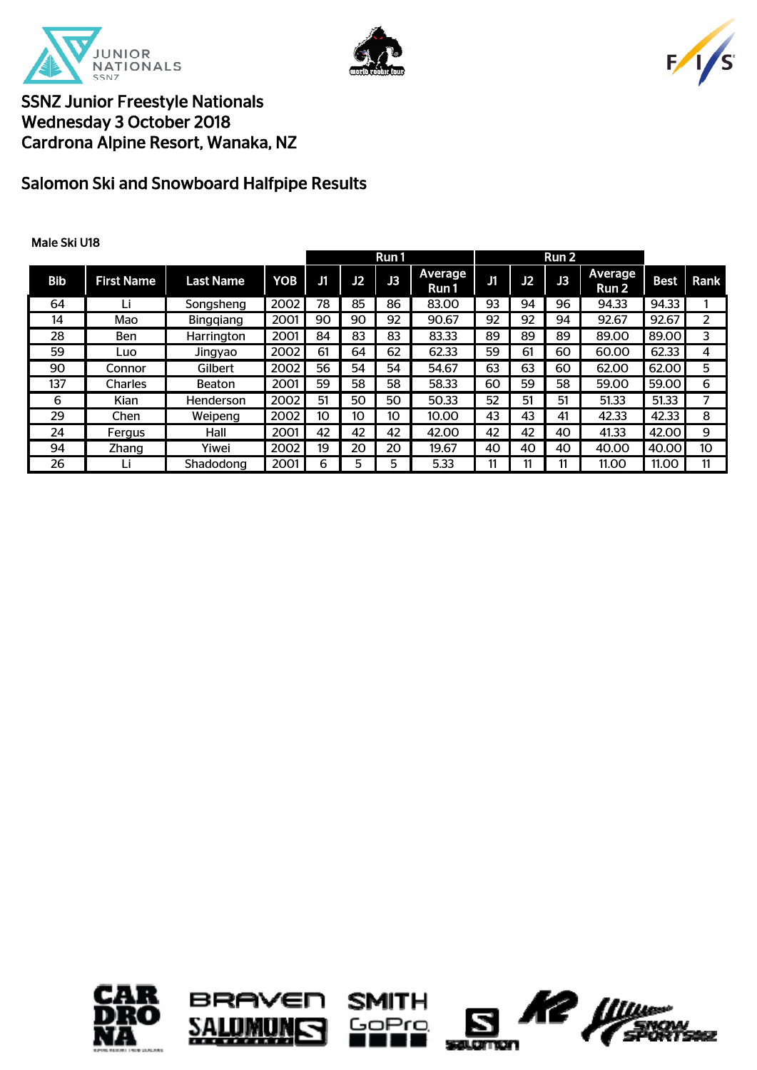





# Salomon Ski and Snowboard Halfpipe Results

| Male Ski U18 |                   |                  |            |    |    |           |                  |    |    |       |                         |             |      |
|--------------|-------------------|------------------|------------|----|----|-----------|------------------|----|----|-------|-------------------------|-------------|------|
|              |                   |                  |            |    |    | Run 1     |                  |    |    | Run 2 |                         |             |      |
| Bib          | <b>First Name</b> | <b>Last Name</b> | <b>YOB</b> | J1 | J2 | <b>JB</b> | Average<br>Run 1 | IJ | J2 | J3    | <b>Average</b><br>Run 2 | <b>Best</b> | Rank |
| 64           | Li                | Songsheng        | 2002       | 78 | 85 | 86        | 83.00            | 93 | 94 | 96    | 94.33                   | 94.33       |      |
| 14           | Mao               | <b>Binggiang</b> | 2001       | 90 | 90 | 92        | 90.67            | 92 | 92 | 94    | 92.67                   | 92.67       | 2    |
| 28           | <b>Ben</b>        | Harrington       | 2001       | 84 | 83 | 83        | 83.33            | 89 | 89 | 89    | 89.00                   | 89.00       | 3    |
| 59           | Luo               | Jingyao          | 2002       | 61 | 64 | 62        | 62.33            | 59 | 61 | 60    | 60.00                   | 62.33       | 4    |
| 90           | Connor            | Gilbert          | 2002       | 56 | 54 | 54        | 54.67            | 63 | 63 | 60    | 62.00                   | 62.00       | 5    |
| 137          | Charles           | Beaton           | 2001       | 59 | 58 | 58        | 58.33            | 60 | 59 | 58    | 59.00                   | 59.00       | 6    |
| 6            | Kian              | Henderson        | 2002       | 51 | 50 | 50        | 50.33            | 52 | 51 | 51    | 51.33                   | 51.33       |      |
| 29           | Chen              | Weipeng          | 2002       | 10 | 10 | 10        | 10.00            | 43 | 43 | 41    | 42.33                   | 42.33       | 8    |
| 24           | Fergus            | Hall             | 2001       | 42 | 42 | 42        | 42.00            | 42 | 42 | 40    | 41.33                   | 42.00       | 9    |
| 94           | Zhang             | Yiwei            | 2002       | 19 | 20 | 20        | 19.67            | 40 | 40 | 40    | 40.00                   | 40.00       | 10   |
| 26           | Li                | Shadodong        | 2001       | 6  | 5  | 5         | 5.33             | 11 |    | 11    | 11.00                   | 11.00       | 11   |







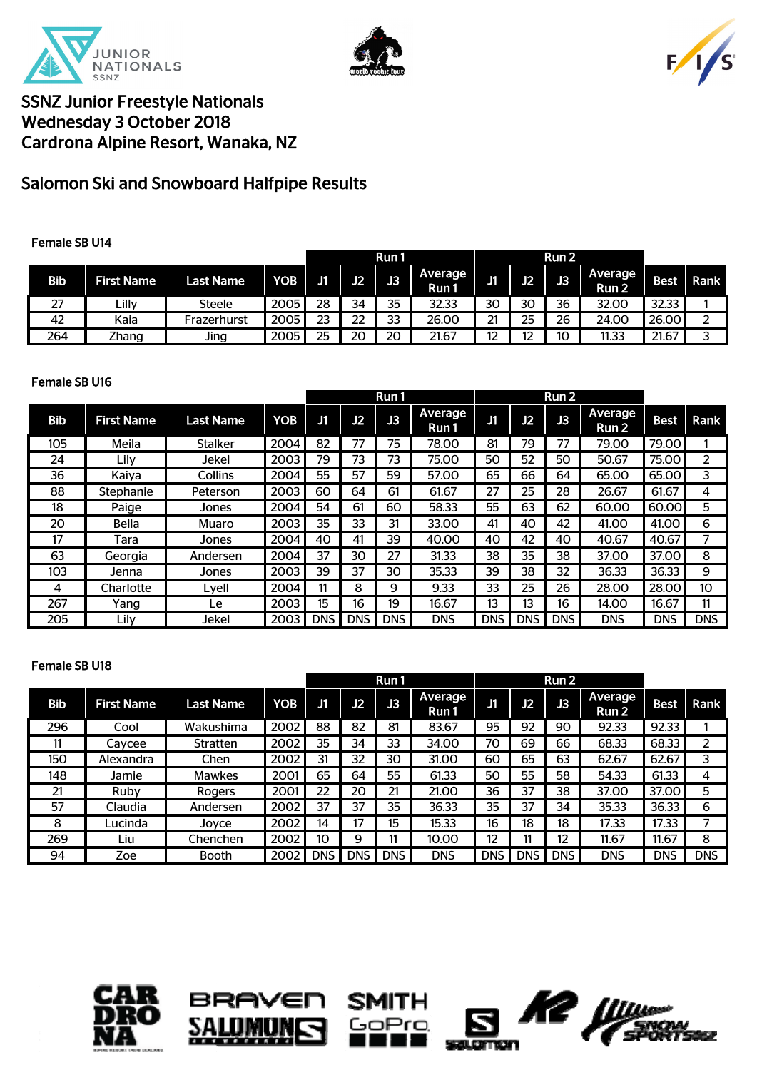





## Salomon Ski and Snowboard Halfpipe Results

### Female SB U14

|            |                   |                  |                  | Run 1 |    |    |                   |    | Run <sub>2</sub> |    |                                    |       |             |
|------------|-------------------|------------------|------------------|-------|----|----|-------------------|----|------------------|----|------------------------------------|-------|-------------|
| <b>Bib</b> | <b>First Name</b> | <b>Last Name</b> | YOB <sub>1</sub> | J1    | J2 | J3 | Average  <br>Run1 | JT | J2               | J3 | <b>Average</b><br>Run <sub>2</sub> | Best  | <b>Rank</b> |
| 27         | ∟illy             | Steele           | 2005             | 28    | 34 | 35 | 32.33             | 30 | 30               | 36 | 32.00                              | 32.33 |             |
| 42         | Kaia              | Frazerhurst      | 2005             | 23    | 22 | つつ | 26.00             | 21 | 25               | 26 | 24.00                              | 26.00 |             |
| 264        | Zhang             | Jing             | 2005             | 25    | 20 | 20 | 21.67             | 12 |                  | 10 | 11.33                              | 21.67 |             |

#### Female SB U16

|            |                   |                  |            | Run 1      |            |            | Run <sub>2</sub> |            |                |            |                  |             |            |
|------------|-------------------|------------------|------------|------------|------------|------------|------------------|------------|----------------|------------|------------------|-------------|------------|
| <b>Bib</b> | <b>First Name</b> | <b>Last Name</b> | <b>YOB</b> | J1         | J2         | J3         | Average<br>Run 1 | J1         | J <sub>2</sub> | J3         | Average<br>Run 2 | <b>Best</b> | Rank       |
| 105        | Meila             | Stalker          | 2004       | 82         |            | 75         | 78.00            | 81         | 79             | 77         | 79.00            | 79.00       |            |
| 24         | Lily              | Jekel            | 2003       | 79         | 73         | 73         | 75.00            | 50         | 52             | 50         | 50.67            | 75.00       | 2          |
| 36         | Kaiya             | Collins          | 2004       | 55         | 57         | 59         | 57.00            | 65         | 66             | 64         | 65.00            | 65.00       | 3          |
| 88         | Stephanie         | Peterson         | 2003       | 60         | 64         | 61         | 61.67            | 27         | 25             | 28         | 26.67            | 61.67       | 4          |
| 18         | Paige             | Jones            | 2004       | 54         | 61         | 60         | 58.33            | 55         | 63             | 62         | 60.00            | 60.00       | 5          |
| 20         | <b>Bella</b>      | Muaro            | 2003       | 35         | 33         | 31         | 33.00            | 41         | 40             | 42         | 41.00            | 41.00       | 6          |
| 17         | Tara              | Jones            | 2004       | 40         | 41         | 39         | 40.00            | 40         | 42             | 40         | 40.67            | 40.67       |            |
| 63         | Georgia           | Andersen         | 2004       | 37         | 30         | 27         | 31.33            | 38         | 35             | 38         | 37.00            | 37.00       | 8          |
| 103        | Jenna             | Jones            | 2003       | 39         | 37         | 30         | 35.33            | 39         | 38             | 32         | 36.33            | 36.33       | 9          |
| 4          | Charlotte         | Lyell            | 2004       | 11         | 8          | 9          | 9.33             | 33         | 25             | 26         | 28.00            | 28.00       | 10         |
| 267        | Yang              | Le.              | 2003       | 15         | 16         | 19         | 16.67            | 13         | 13             | 16         | 14.00            | 16.67       | 11         |
| 205        | Lily              | Jekel            | 2003       | <b>DNS</b> | <b>DNS</b> | <b>DNS</b> | <b>DNS</b>       | <b>DNS</b> | <b>DNS</b>     | <b>DNS</b> | <b>DNS</b>       | <b>DNS</b>  | <b>DNS</b> |

### Female SB U18

|            |                   |                  |            |            |            | Run 1     |                  |            |            | Run 2      |                  |             |            |
|------------|-------------------|------------------|------------|------------|------------|-----------|------------------|------------|------------|------------|------------------|-------------|------------|
| <b>Bib</b> | <b>First Name</b> | <b>Last Name</b> | <b>YOB</b> | J1         | J2         | <b>JB</b> | Average<br>Run 1 | J1         | J2         | <b>JB</b>  | Average<br>Run 2 | <b>Best</b> | Rank       |
| 296        | Cool              | Wakushima        | 2002       | 88         | 82         | 81        | 83.67            | 95         | 92         | 90         | 92.33            | 92.33       |            |
| 11         | Cavcee            | Stratten         | 2002       | 35         | 34         | 33        | 34.00            | 70         | 69         | 66         | 68.33            | 68.33       | 2          |
| 150        | Alexandra         | Chen             | 2002       | 31         | 32         | 30        | 31.00            | 60         | 65         | 63         | 62.67            | 62.67       | 3          |
| 148        | Jamie             | <b>Mawkes</b>    | 2001       | 65         | 64         | 55        | 61.33            | 50         | 55         | 58         | 54.33            | 61.33       | 4          |
| 21         | Ruby              | Rogers           | 2001       | 22         | 20         | 21        | 21.00            | 36         | 37         | 38         | 37.00            | 37.00       | 5          |
| 57         | Claudia           | Andersen         | 2002       | 37         | 37         | 35        | 36.33            | 35         | 37         | 34         | 35.33            | 36.33       | 6          |
| 8          | Lucinda           | Joyce            | 2002       | 14         | 17         | 15        | 15.33            | 16         | 18         | 18         | 17.33            | 17.33       |            |
| 269        | Liu               | Chenchen         | 2002       | 10         | 9          | 11        | 10.00            | 12         | 11         | 12         | 11.67            | 11.67       | 8          |
| 94         | Zoe               | <b>Booth</b>     | 2002 l     | <b>DNS</b> | <b>DNS</b> | DNS I     | <b>DNS</b>       | <b>DNS</b> | <b>DNS</b> | <b>DNS</b> | <b>DNS</b>       | <b>DNS</b>  | <b>DNS</b> |







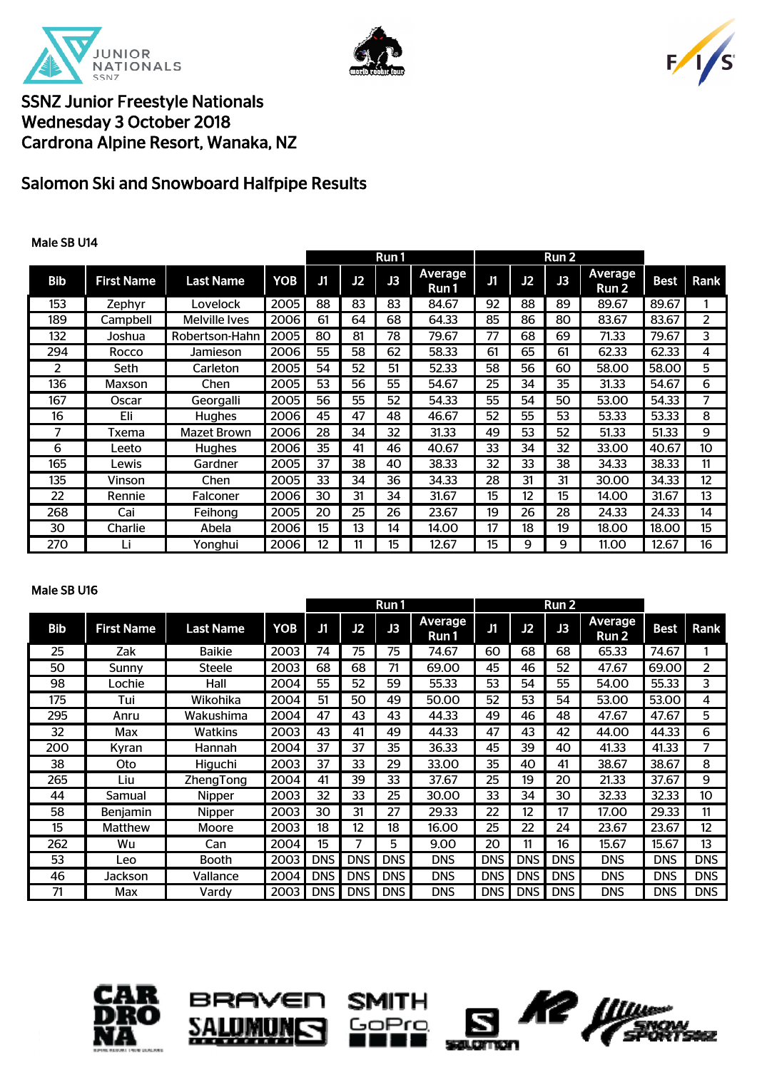





# Salomon Ski and Snowboard Halfpipe Results

### Male SB U14

|            |                   |                  |            | Run 1 |    |    | Run 2            |    |    |                |                  |             |      |
|------------|-------------------|------------------|------------|-------|----|----|------------------|----|----|----------------|------------------|-------------|------|
| <b>Bib</b> | <b>First Name</b> | <b>Last Name</b> | <b>YOB</b> | J1    | J2 | J3 | Average<br>Run 1 | J1 | J2 | J <sub>3</sub> | Average<br>Run 2 | <b>Best</b> | Rank |
| 153        | Zephyr            | Lovelock         | 2005       | 88    | 83 | 83 | 84.67            | 92 | 88 | 89             | 89.67            | 89.67       |      |
| 189        | Campbell          | Melville Ives    | 2006       | 61    | 64 | 68 | 64.33            | 85 | 86 | 80             | 83.67            | 83.67       | 2    |
| 132        | Joshua            | Robertson-Hahn   | 2005       | 80    | 81 | 78 | 79.67            | 77 | 68 | 69             | 71.33            | 79.67       | 3    |
| 294        | Rocco             | Jamieson         | 2006       | 55    | 58 | 62 | 58.33            | 61 | 65 | 61             | 62.33            | 62.33       | 4    |
| 2          | Seth              | Carleton         | 2005       | 54    | 52 | 51 | 52.33            | 58 | 56 | 60             | 58.00            | 58.00       | 5    |
| 136        | Maxson            | Chen             | 2005       | 53    | 56 | 55 | 54.67            | 25 | 34 | 35             | 31.33            | 54.67       | 6    |
| 167        | Oscar             | Georgalli        | 2005       | 56    | 55 | 52 | 54.33            | 55 | 54 | 50             | 53.00            | 54.33       | 7    |
| 16         | Eli               | Hughes           | 2006       | 45    | 47 | 48 | 46.67            | 52 | 55 | 53             | 53.33            | 53.33       | 8    |
| 7          | <b>Txema</b>      | Mazet Brown      | 2006       | 28    | 34 | 32 | 31.33            | 49 | 53 | 52             | 51.33            | 51.33       | 9    |
| 6          | Leeto             | <b>Hughes</b>    | 2006       | 35    | 41 | 46 | 40.67            | 33 | 34 | 32             | 33.00            | 40.67       | 10   |
| 165        | Lewis             | Gardner          | 2005       | 37    | 38 | 40 | 38.33            | 32 | 33 | 38             | 34.33            | 38.33       | 11   |
| 135        | Vinson            | Chen             | 2005       | 33    | 34 | 36 | 34.33            | 28 | 31 | 31             | 30.00            | 34.33       | 12   |
| 22         | Rennie            | Falconer         | 2006       | 30    | 31 | 34 | 31.67            | 15 | 12 | 15             | 14.00            | 31.67       | 13   |
| 268        | Cai               | Feihong          | 2005       | 20    | 25 | 26 | 23.67            | 19 | 26 | 28             | 24.33            | 24.33       | 14   |
| 30         | Charlie           | Abela            | 2006       | 15    | 13 | 14 | 14.00            | 17 | 18 | 19             | 18.00            | 18.00       | 15   |
| 270        |                   | Yonghui          | 2006       | 12    | 11 | 15 | 12.67            | 15 | 9  | 9              | 11.00            | 12.67       | 16   |

#### Male SB U16

|            |                   |                  | Run 1      |            |            | Run 2      |                  |            |            |            |                  |             |            |
|------------|-------------------|------------------|------------|------------|------------|------------|------------------|------------|------------|------------|------------------|-------------|------------|
| <b>Bib</b> | <b>First Name</b> | <b>Last Name</b> | <b>YOB</b> | J1         | J2         | J3         | Average<br>Run 1 | J1         | J2         | J3         | Average<br>Run 2 | <b>Best</b> | Rank       |
| 25         | Zak               | <b>Baikie</b>    | 2003       | 74         | 75         | 75         | 74.67            | 60         | 68         | 68         | 65.33            | 74.67       |            |
| 50         | Sunny             | Steele           | 2003       | 68         | 68         | 71         | 69.00            | 45         | 46         | 52         | 47.67            | 69.00       | 2          |
| 98         | _ochie            | Hall             | 2004       | 55         | 52         | 59         | 55.33            | 53         | 54         | 55         | 54.00            | 55.33       | 3          |
| 175        | Tui               | Wikohika         | 2004       | 51         | 50         | 49         | 50.00            | 52         | 53         | 54         | 53.00            | 53.00       | 4          |
| 295        | Anru              | Wakushima        | 2004       | 47         | 43         | 43         | 44.33            | 49         | 46         | 48         | 47.67            | 47.67       | 5          |
| 32         | Max               | Watkins          | 2003       | 43         | 41         | 49         | 44.33            | 47         | 43         | 42         | 44.00            | 44.33       | 6          |
| 200        | Kyran             | Hannah           | 2004       | 37         | 37         | 35         | 36.33            | 45         | 39         | 40         | 41.33            | 41.33       | 7          |
| 38         | Oto               | Higuchi          | 2003       | 37         | 33         | 29         | 33.00            | 35         | 40         | 41         | 38.67            | 38.67       | 8          |
| 265        | Liu               | ZhengTong        | 2004       | 41         | 39         | 33         | 37.67            | 25         | 19         | 20         | 21.33            | 37.67       | 9          |
| 44         | Samual            | Nipper           | 2003       | 32         | 33         | 25         | 30.00            | 33         | 34         | 30         | 32.33            | 32.33       | 10         |
| 58         | <b>Benjamin</b>   | Nipper           | 2003       | 30         | 31         | 27         | 29.33            | 22         | 12         | 17         | 17.00            | 29.33       | 11         |
| 15         | <b>Matthew</b>    | Moore            | 2003       | 18         | 12         | 18         | 16.00            | 25         | 22         | 24         | 23.67            | 23.67       | 12         |
| 262        | Wu                | Can              | 2004       | 15         |            | 5          | 9.00             | 20         | 11         | 16         | 15.67            | 15.67       | 13         |
| 53         | Leo               | Booth            | 2003       | <b>DNS</b> | <b>DNS</b> | <b>DNS</b> | <b>DNS</b>       | <b>DNS</b> | <b>DNS</b> | <b>DNS</b> | <b>DNS</b>       | <b>DNS</b>  | <b>DNS</b> |
| 46         | Jackson           | Vallance         | 2004       | <b>DNS</b> | <b>DNS</b> | <b>DNS</b> | <b>DNS</b>       | <b>DNS</b> | DNS I      | <b>DNS</b> | <b>DNS</b>       | <b>DNS</b>  | <b>DNS</b> |
| 71         | Max               | Vardy            | 2003       | <b>DNS</b> | <b>DNS</b> | <b>DNS</b> | DNS              | <b>DNS</b> | DNS I      | <b>DNS</b> | dns              | <b>DNS</b>  | DNS.       |